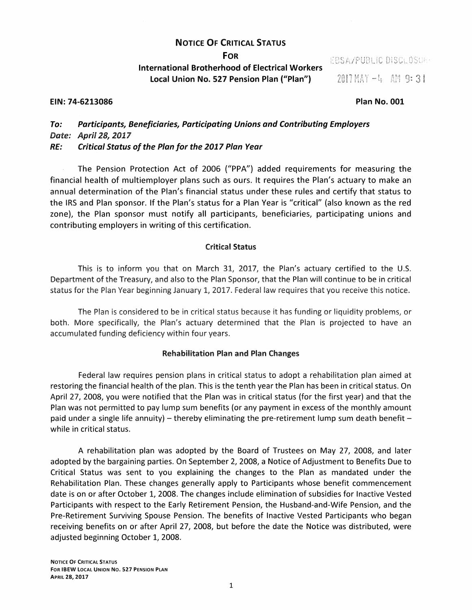## **NOTICE OF CRITICAL STATUS**

# FOR **EBSA/PUBLIC DISCLOSURE International Brotherhood of Electrical Workers Local Union No. 527 Pension Plan ("Plan")** 9: 31

#### **EIN: 74-6213086 Plan No. 001**

**To: Date: April 28, 2017 Participants, Beneficiaries, Participating Unions and Contributing Employers** 

**RE: Critical Status of the Plan for the 2017 Plan Year** 

The Pension Protection Act of 2006 ("PPA") added requirements for measuring the financial health of multiemployer plans such as ours. It requires the Plan's actuary to make an annual determination of the Plan's financial status under these rules and certify that status to the IRS and Plan sponsor. If the Plan's status for a Plan Year is "critical" (also known as the red zone), the Plan sponsor must notify all participants, beneficiaries, participating unions and contributing employers in writing of this certification.

#### **Critical Status**

This is to inform you that on March 31, 2017, the Plan's actuary certified to the U.S. Department of the Treasury, and also to the Plan Sponsor, that the Plan will continue to be in critical status for the Plan Year beginning January 1, 2017. Federal law requires that you receive this notice.

The Plan is considered to be in critical status because it has funding or liquidity problems, or both. More specifically, the Plan's actuary determined that the Plan is projected to have an accumulated funding deficiency within four years.

### **Rehabilitation Plan and Plan Changes**

Federal law requires pension plans in critical status to adopt a rehabilitation plan aimed at restoring the financial health of the plan. This is the tenth year the Plan has been in critical status. On April 27, 2008, you were notified that the Plan was in critical status (for the first year) and that the Plan was not permitted to pay lump sum benefits (or any payment in excess of the monthly amount paid under a single life annuity)  $-$  thereby eliminating the pre-retirement lump sum death benefit  $$ while in critical status.

A rehabilitation plan was adopted by the Board of Trustees on May 27, 2008, and later adopted by the bargaining parties. On September 2, 2008, a Notice of Adjustment to Benefits Due to Critical Status was sent to you explaining the changes to the Plan as mandated under the Rehabilitation Plan. These changes generally apply to Participants whose benefit commencement date is on or after October 1, 2008. The changes include elimination of subsidies for Inactive Vested Participants with respect to the Early Retirement Pension, the Husband-and-Wife Pension, and the Pre-Retirement Surviving Spouse Pension. The benefits of Inactive Vested Participants who began receiving benefits on or after April 27, 2008, but before the date the Notice was distributed, were adjusted beginning October 1, 2008.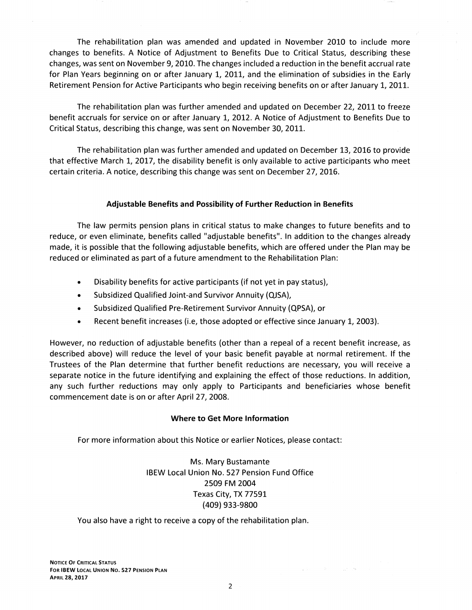The rehabilitation plan was amended and updated in November 2010 to include more changes to benefits. A Notice of Adjustment to Benefits Due to Critical Status, describing these changes, was sent on November 9, 2010. The changes included a reduction in the benefit accrual rate for Plan Years beginning on or after January 1, 2011, and the elimination of subsidies in the Early Retirement Pension for Active Participants who begin receiving benefits on or after January 1, 2011.

The rehabilitation plan was further amended and updated on December 22, 2011 to freeze benefit accruals for service on or after January 1, 2012. A Notice of Adjustment to Benefits Due to Critical Status, describing this change, was sent on November 30, 2011.

The rehabilitation plan was further amended and updated on December 13, 2016 to provide that effective March 1, 2017, the disability benefit is only available to active participants who meet certain criteria. A notice, describing this change was sent on December 27, 2016.

#### **Adjustable Benefits and Possibility of Further Reduction in Benefits**

The law permits pension plans in critical status to make changes to future benefits and to reduce, or even eliminate, benefits called "adjustable benefits". In addition to the changes already made, it is possible that the following adjustable benefits, which are offered under the Plan may be reduced or eliminated as part of a future amendment to the Rehabilitation Plan:

- Disability benefits for active participants (if not yet in pay status),
- Subsidized Qualified Joint-and Survivor Annuity (QJSA),
- Subsidized Qualified Pre-Retirement Survivor Annuity (QPSA), or
- Recent benefit increases (i.e, those adopted or effective since January 1, 2003}.

However, no reduction of adjustable benefits (other than a repeal of a recent benefit increase, as described above) will reduce the level of your basic benefit payable at normal retirement. If the Trustees of the Plan determine that further benefit reductions are necessary, you will receive a separate notice in the future identifying and explaining the effect of those reductions. In addition, any such further reductions may only apply to Participants and beneficiaries whose benefit commencement date is on or after April 27, 2008.

#### **Where to Get More Information**

For more information about this Notice or earlier Notices, please contact:

Ms. Mary Bustamante IBEW Local Union No. 527 Pension Fund Office 2509 FM 2004 Texas City, TX 77591 (409) 933-9800

You also have a right to receive a copy of the rehabilitation plan.

NOTICE OF CRITICAL STATUS FOR IBEW LOCAL UNION No. 527 PENSION PLAN APRIL 28, 2017